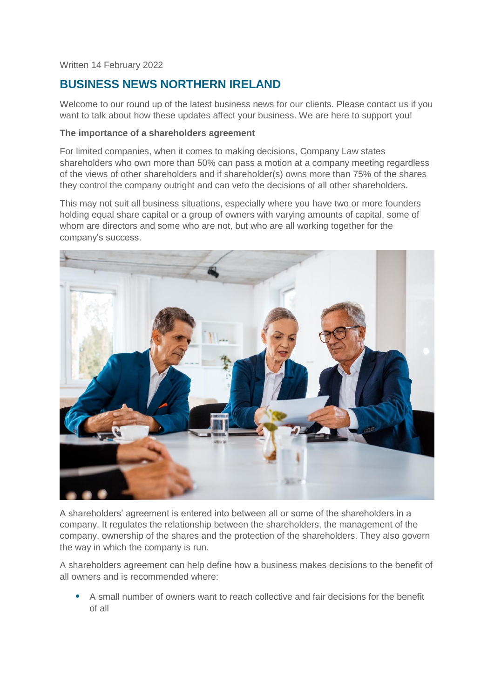Written 14 February 2022

# **BUSINESS NEWS NORTHERN IRELAND**

Welcome to our round up of the latest business news for our clients. Please contact us if you want to talk about how these updates affect your business. We are here to support you!

## **The importance of a shareholders agreement**

For limited companies, when it comes to making decisions, Company Law states shareholders who own more than 50% can pass a motion at a company meeting regardless of the views of other shareholders and if shareholder(s) owns more than 75% of the shares they control the company outright and can veto the decisions of all other shareholders.

This may not suit all business situations, especially where you have two or more founders holding equal share capital or a group of owners with varying amounts of capital, some of whom are directors and some who are not, but who are all working together for the company's success.



A shareholders' agreement is entered into between all or some of the shareholders in a company. It regulates the relationship between the shareholders, the management of the company, ownership of the shares and the protection of the shareholders. They also govern the way in which the company is run.

A shareholders agreement can help define how a business makes decisions to the benefit of all owners and is recommended where:

• A small number of owners want to reach collective and fair decisions for the benefit of all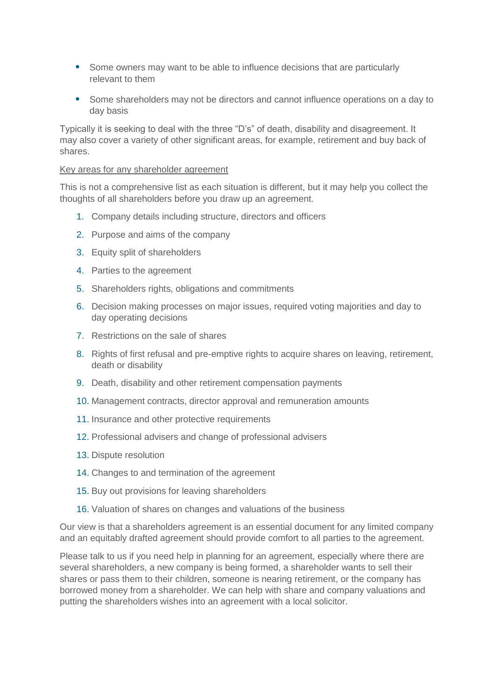- Some owners may want to be able to influence decisions that are particularly relevant to them
- Some shareholders may not be directors and cannot influence operations on a day to day basis

Typically it is seeking to deal with the three "D's" of death, disability and disagreement. It may also cover a variety of other significant areas, for example, retirement and buy back of shares.

#### Key areas for any shareholder agreement

This is not a comprehensive list as each situation is different, but it may help you collect the thoughts of all shareholders before you draw up an agreement.

- 1. Company details including structure, directors and officers
- 2. Purpose and aims of the company
- 3. Equity split of shareholders
- 4. Parties to the agreement
- 5. Shareholders rights, obligations and commitments
- 6. Decision making processes on major issues, required voting majorities and day to day operating decisions
- 7. Restrictions on the sale of shares
- 8. Rights of first refusal and pre-emptive rights to acquire shares on leaving, retirement, death or disability
- 9. Death, disability and other retirement compensation payments
- 10. Management contracts, director approval and remuneration amounts
- 11. Insurance and other protective requirements
- 12. Professional advisers and change of professional advisers
- 13. Dispute resolution
- 14. Changes to and termination of the agreement
- 15. Buy out provisions for leaving shareholders
- 16. Valuation of shares on changes and valuations of the business

Our view is that a shareholders agreement is an essential document for any limited company and an equitably drafted agreement should provide comfort to all parties to the agreement.

Please talk to us if you need help in planning for an agreement, especially where there are several shareholders, a new company is being formed, a shareholder wants to sell their shares or pass them to their children, someone is nearing retirement, or the company has borrowed money from a shareholder. We can help with share and company valuations and putting the shareholders wishes into an agreement with a local solicitor.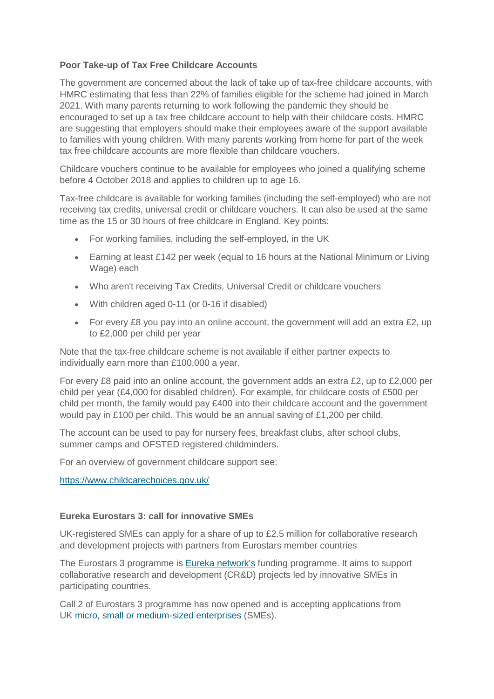# **Poor Take-up of Tax Free Childcare Accounts**

The government are concerned about the lack of take up of tax-free childcare accounts, with HMRC estimating that less than 22% of families eligible for the scheme had joined in March 2021. With many parents returning to work following the pandemic they should be encouraged to set up a tax free childcare account to help with their childcare costs. HMRC are suggesting that employers should make their employees aware of the support available to families with young children. With many parents working from home for part of the week tax free childcare accounts are more flexible than childcare vouchers.

Childcare vouchers continue to be available for employees who joined a qualifying scheme before 4 October 2018 and applies to children up to age 16.

Tax-free childcare is available for working families (including the self-employed) who are not receiving tax credits, universal credit or childcare vouchers. It can also be used at the same time as the 15 or 30 hours of free childcare in England. Key points:

- For working families, including the self-employed, in the UK
- Earning at least £142 per week (equal to 16 hours at the National Minimum or Living Wage) each
- Who aren't receiving Tax Credits, Universal Credit or childcare vouchers
- With children aged 0-11 (or 0-16 if disabled)
- For every £8 you pay into an online account, the government will add an extra £2, up to £2,000 per child per year

Note that the tax-free childcare scheme is not available if either partner expects to individually earn more than £100,000 a year.

For every £8 paid into an online account, the government adds an extra £2, up to £2,000 per child per year (£4,000 for disabled children). For example, for childcare costs of £500 per child per month, the family would pay £400 into their childcare account and the government would pay in £100 per child. This would be an annual saving of £1,200 per child.

The account can be used to pay for nursery fees, breakfast clubs, after school clubs, summer camps and OFSTED registered childminders.

For an overview of government childcare support see:

<https://www.childcarechoices.gov.uk/>

# **Eureka Eurostars 3: call for innovative SMEs**

UK-registered SMEs can apply for a share of up to £2.5 million for collaborative research and development projects with partners from Eurostars member countries

The Eurostars 3 programme is [Eureka network's](https://www.eurekanetwork.org/) funding programme. It aims to support collaborative research and development (CR&D) projects led by innovative SMEs in participating countries.

Call 2 of Eurostars 3 programme has now opened and is accepting applications from UK [micro, small or medium-sized enterprises](http://ec.europa.eu/growth/smes/business-friendly-environment/sme-definition_en) (SMEs).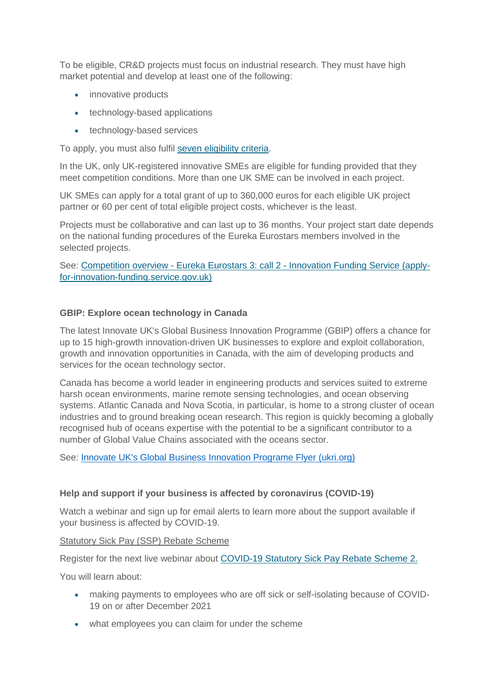To be eligible, CR&D projects must focus on industrial research. They must have high market potential and develop at least one of the following:

- innovative products
- technology-based applications
- technology-based services

To apply, you must also fulfil [seven eligibility criteria.](https://apply-for-innovation-funding.service.gov.uk/competition/1095/overview#eligibility)

In the UK, only UK-registered innovative SMEs are eligible for funding provided that they meet competition conditions. More than one UK SME can be involved in each project.

UK SMEs can apply for a total grant of up to 360,000 euros for each eligible UK project partner or 60 per cent of total eligible project costs, whichever is the least.

Projects must be collaborative and can last up to 36 months. Your project start date depends on the national funding procedures of the Eureka Eurostars members involved in the selected projects.

See: Competition overview - Eureka Eurostars 3: call 2 - [Innovation Funding Service \(apply](https://apply-for-innovation-funding.service.gov.uk/competition/1095/overview)[for-innovation-funding.service.gov.uk\)](https://apply-for-innovation-funding.service.gov.uk/competition/1095/overview)

## **GBIP: Explore ocean technology in Canada**

The latest Innovate UK's Global Business Innovation Programme (GBIP) offers a chance for up to 15 high-growth innovation-driven UK businesses to explore and exploit collaboration, growth and innovation opportunities in Canada, with the aim of developing products and services for the ocean technology sector.

Canada has become a world leader in engineering products and services suited to extreme harsh ocean environments, marine remote sensing technologies, and ocean observing systems. Atlantic Canada and Nova Scotia, in particular, is home to a strong cluster of ocean industries and to ground breaking ocean research. This region is quickly becoming a globally recognised hub of oceans expertise with the potential to be a significant contributor to a number of Global Value Chains associated with the oceans sector.

See: [Innovate UK's Global Business Innovation Programe Flyer \(ukri.org\)](https://www.innovateukedge.ukri.org/static/2022-01/GBIP%20in%20Canada%20Ocean%20Technology%202022.pdf?VersionId=qjhnp5FpUC9u6Ad92TymGPSMfd2J2O9F)

# **Help and support if your business is affected by coronavirus (COVID-19)**

Watch a webinar and sign up for email alerts to learn more about the support available if your business is affected by COVID-19.

Statutory Sick Pay (SSP) Rebate Scheme

Register for the next live webinar about [COVID-19 Statutory Sick Pay Rebate Scheme 2.](https://register.gotowebinar.com/rt/9167065367434093067?source=January-HMRC-GOV)

You will learn about:

- making payments to employees who are off sick or self-isolating because of COVID-19 on or after December 2021
- what employees you can claim for under the scheme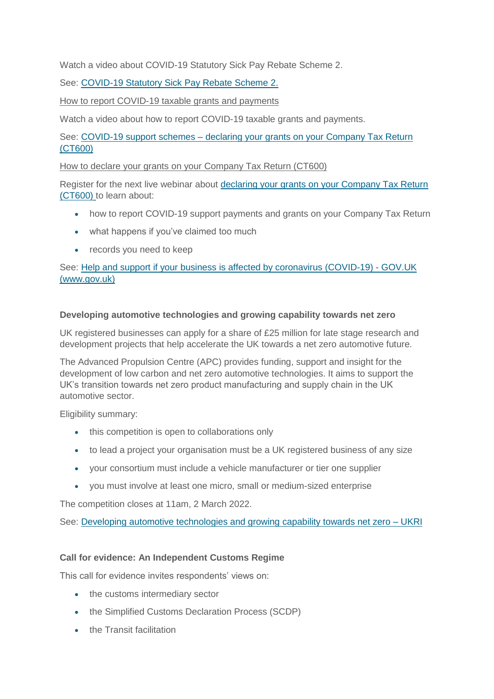Watch a video about COVID-19 Statutory Sick Pay Rebate Scheme 2.

See: [COVID-19 Statutory Sick Pay Rebate Scheme 2.](https://youtu.be/6hOp6UBzKMg)

How to report COVID-19 taxable grants and payments

Watch a video about how to report COVID-19 taxable grants and payments.

See: COVID-19 support schemes – [declaring your grants on your Company Tax Return](https://www.youtube.com/watch?v=T_Fvw2JdrSc)  [\(CT600\)](https://www.youtube.com/watch?v=T_Fvw2JdrSc)

How to declare your grants on your Company Tax Return (CT600)

Register for the next live webinar about [declaring your grants on your Company Tax Return](https://attendee.gotowebinar.com/rt/8660539050954030094?source=Gov)  [\(CT600\)](https://attendee.gotowebinar.com/rt/8660539050954030094?source=Gov) to learn about:

- how to report COVID-19 support payments and grants on your Company Tax Return
- what happens if you've claimed too much
- records you need to keep

See: [Help and support if your business is affected by coronavirus \(COVID-19\) -](https://www.gov.uk/guidance/help-and-support-if-your-business-is-affected-by-coronavirus-covid-19?utm_medium=email&utm_campaign=govuk-notifications-topic&utm_source=8f311ea3-b14a-4334-94f4-fd35226d56a6&utm_content=daily) GOV.UK [\(www.gov.uk\)](https://www.gov.uk/guidance/help-and-support-if-your-business-is-affected-by-coronavirus-covid-19?utm_medium=email&utm_campaign=govuk-notifications-topic&utm_source=8f311ea3-b14a-4334-94f4-fd35226d56a6&utm_content=daily)

# **Developing automotive technologies and growing capability towards net zero**

UK registered businesses can apply for a share of £25 million for late stage research and development projects that help accelerate the UK towards a net zero automotive future.

The Advanced Propulsion Centre (APC) provides funding, support and insight for the development of low carbon and net zero automotive technologies. It aims to support the UK's transition towards net zero product manufacturing and supply chain in the UK automotive sector.

Eligibility summary:

- this competition is open to collaborations only
- to lead a project your organisation must be a UK registered business of any size
- your consortium must include a vehicle manufacturer or tier one supplier
- you must involve at least one micro, small or medium-sized enterprise

The competition closes at 11am, 2 March 2022.

See: [Developing automotive technologies and growing capability towards net zero –](https://www.ukri.org/opportunity/developing-automotive-technologies-and-growing-capability-towards-net-zero/) UKRI

## **Call for evidence: An Independent Customs Regime**

This call for evidence invites respondents' views on:

- the customs intermediary sector
- the Simplified Customs Declaration Process (SCDP)
- **the Transit facilitation**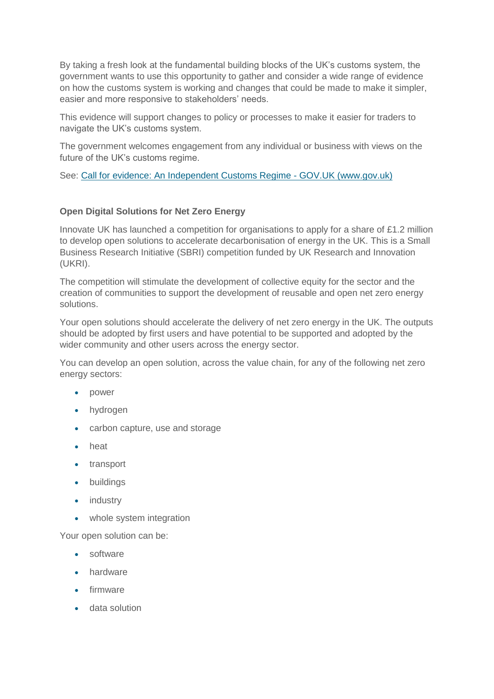By taking a fresh look at the fundamental building blocks of the UK's customs system, the government wants to use this opportunity to gather and consider a wide range of evidence on how the customs system is working and changes that could be made to make it simpler, easier and more responsive to stakeholders' needs.

This evidence will support changes to policy or processes to make it easier for traders to navigate the UK's customs system.

The government welcomes engagement from any individual or business with views on the future of the UK's customs regime.

See: [Call for evidence: An Independent Customs Regime -](https://www.gov.uk/government/consultations/call-for-evidence-an-independent-customs-regime) GOV.UK (www.gov.uk)

# **Open Digital Solutions for Net Zero Energy**

Innovate UK has launched a competition for organisations to apply for a share of £1.2 million to develop open solutions to accelerate decarbonisation of energy in the UK. This is a Small Business Research Initiative (SBRI) competition funded by UK Research and Innovation (UKRI).

The competition will stimulate the development of collective equity for the sector and the creation of communities to support the development of reusable and open net zero energy solutions.

Your open solutions should accelerate the delivery of net zero energy in the UK. The outputs should be adopted by first users and have potential to be supported and adopted by the wider community and other users across the energy sector.

You can develop an open solution, across the value chain, for any of the following net zero energy sectors:

- power
- hydrogen
- carbon capture, use and storage
- heat
- transport
- buildings
- industry
- whole system integration

Your open solution can be:

- software
- hardware
- firmware
- data solution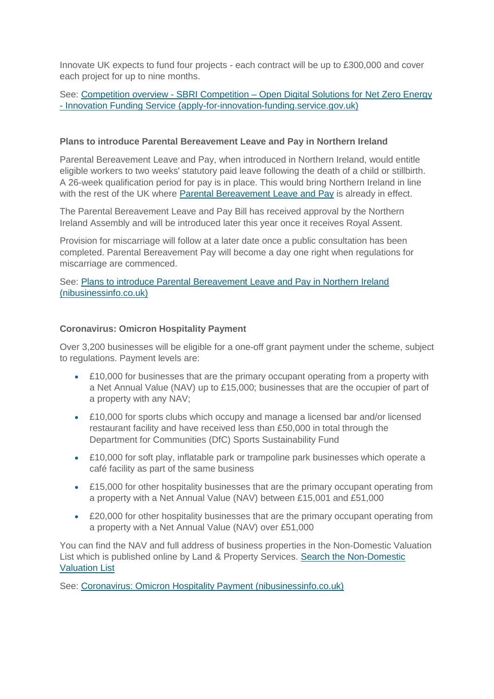Innovate UK expects to fund four projects - each contract will be up to £300,000 and cover each project for up to nine months.

See: Competition overview - SBRI Competition – Open Digital Solutions for Net Zero Energy - [Innovation Funding Service \(apply-for-innovation-funding.service.gov.uk\)](https://apply-for-innovation-funding.service.gov.uk/competition/1078/overview)

#### **Plans to introduce Parental Bereavement Leave and Pay in Northern Ireland**

Parental Bereavement Leave and Pay, when introduced in Northern Ireland, would entitle eligible workers to two weeks' statutory paid leave following the death of a child or stillbirth. A 26-week qualification period for pay is in place. This would bring Northern Ireland in line with the rest of the UK where [Parental Bereavement Leave and Pay](https://www.gov.uk/parental-bereavement-pay-leave) is already in effect.

The Parental Bereavement Leave and Pay Bill has received approval by the Northern Ireland Assembly and will be introduced later this year once it receives Royal Assent.

Provision for miscarriage will follow at a later date once a public consultation has been completed. Parental Bereavement Pay will become a day one right when regulations for miscarriage are commenced.

See: [Plans to introduce Parental Bereavement Leave and Pay in Northern Ireland](https://www.nibusinessinfo.co.uk/content/plans-introduce-parental-bereavement-leave-and-pay-northern-ireland)  [\(nibusinessinfo.co.uk\)](https://www.nibusinessinfo.co.uk/content/plans-introduce-parental-bereavement-leave-and-pay-northern-ireland)

## **Coronavirus: Omicron Hospitality Payment**

Over 3,200 businesses will be eligible for a one-off grant payment under the scheme, subject to regulations. Payment levels are:

- £10,000 for businesses that are the primary occupant operating from a property with a Net Annual Value (NAV) up to £15,000; businesses that are the occupier of part of a property with any NAV;
- £10,000 for sports clubs which occupy and manage a licensed bar and/or licensed restaurant facility and have received less than £50,000 in total through the Department for Communities (DfC) Sports Sustainability Fund
- £10,000 for soft play, inflatable park or trampoline park businesses which operate a café facility as part of the same business
- £15,000 for other hospitality businesses that are the primary occupant operating from a property with a Net Annual Value (NAV) between £15,001 and £51,000
- £20,000 for other hospitality businesses that are the primary occupant operating from a property with a Net Annual Value (NAV) over £51,000

You can find the NAV and full address of business properties in the Non-Domestic Valuation List which is published online by Land & Property Services. [Search the Non-Domestic](https://lpsni.gov.uk/vListNDN/search.asp?submit=form)  [Valuation List](https://lpsni.gov.uk/vListNDN/search.asp?submit=form)

See: [Coronavirus: Omicron Hospitality Payment \(nibusinessinfo.co.uk\)](https://www.nibusinessinfo.co.uk/content/coronavirus-omicron-hospitality-payment)